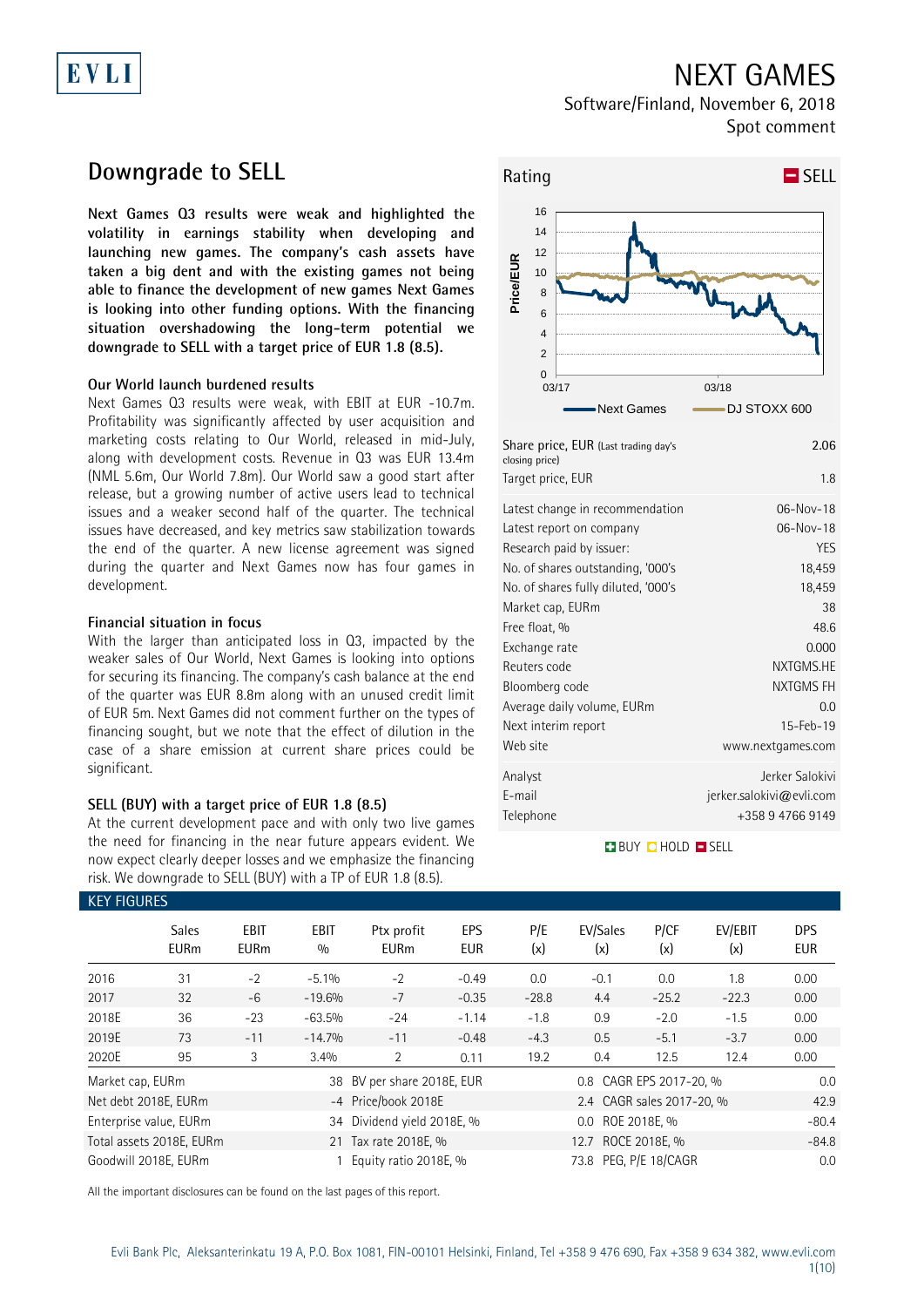## NEXT GAMES

Software/Finland, November 6, 2018 Spot comment

## **Downgrade to SELL**

EVLI

**Next Games Q3 results were weak and highlighted the volatility in earnings stability when developing and launching new games. The company's cash assets have taken a big dent and with the existing games not being able to finance the development of new games Next Games is looking into other funding options. With the financing situation overshadowing the long-term potential we downgrade to SELL with a target price of EUR 1.8 (8.5).**

### **Our World launch burdened results**

Next Games Q3 results were weak, with EBIT at EUR -10.7m. Profitability was significantly affected by user acquisition and marketing costs relating to Our World, released in mid-July, along with development costs. Revenue in Q3 was EUR 13.4m (NML 5.6m, Our World 7.8m). Our World saw a good start after release, but a growing number of active users lead to technical issues and a weaker second half of the quarter. The technical issues have decreased, and key metrics saw stabilization towards the end of the quarter. A new license agreement was signed during the quarter and Next Games now has four games in development.

### **Financial situation in focus**

With the larger than anticipated loss in Q3, impacted by the weaker sales of Our World, Next Games is looking into options for securing its financing. The company's cash balance at the end of the quarter was EUR 8.8m along with an unused credit limit of EUR 5m. Next Games did not comment further on the types of financing sought, but we note that the effect of dilution in the case of a share emission at current share prices could be significant.

### **SELL (BUY) with a target price of EUR 1.8 (8.5)**

At the current development pace and with only two live games the need for financing in the near future appears evident. We now expect clearly deeper losses and we emphasize the financing risk. We downgrade to SELL (BUY) with a TP of EUR 1.8 (8.5).



| Share price, EUR (Last trading day's<br>closing price)<br>Target price, EUR | 2.06<br>1.8              |
|-----------------------------------------------------------------------------|--------------------------|
| Latest change in recommendation                                             | $06-Nov-18$              |
| Latest report on company                                                    | 06-Nov-18                |
| Research paid by issuer:                                                    | <b>YES</b>               |
| No. of shares outstanding, '000's                                           | 18,459                   |
| No. of shares fully diluted, '000's                                         | 18,459                   |
| Market cap, EURm                                                            | 38                       |
| Free float, %                                                               | 48.6                     |
| Exchange rate                                                               | 0.000                    |
| Reuters code                                                                | NXTGMS.HE                |
| Bloomberg code                                                              | NXTGMS FH                |
| Average daily volume, EURm                                                  | 0.0                      |
| Next interim report                                                         | 15-Feb-19                |
| Web site                                                                    | www.nextgames.com        |
| Analyst                                                                     | Jerker Salokivi          |
| E-mail                                                                      | jerker.salokivi@evli.com |
| Telephone                                                                   | +358 9 4766 9149         |
|                                                                             |                          |

### **BUY CHOLD EISELL**

|                                                      | <b>KEY FIGURES</b>          |                     |                    |                            |                          |            |                           |             |                |                          |
|------------------------------------------------------|-----------------------------|---------------------|--------------------|----------------------------|--------------------------|------------|---------------------------|-------------|----------------|--------------------------|
|                                                      | <b>Sales</b><br><b>EURm</b> | EBIT<br><b>EURm</b> | <b>EBIT</b><br>0/0 | Ptx profit<br><b>EURm</b>  | <b>EPS</b><br><b>EUR</b> | P/E<br>(x) | EV/Sales<br>(x)           | P/CF<br>(x) | EV/EBIT<br>(x) | <b>DPS</b><br><b>EUR</b> |
| 2016                                                 | 31                          | $-2$                | $-5.1%$            | $-2$                       | $-0.49$                  | 0.0        | $-0.1$                    | 0.0         | 1.8            | 0.00                     |
| 2017                                                 | 32                          | $-6$                | $-19.6%$           | $-7$                       | $-0.35$                  | $-28.8$    | 4.4                       | $-25.2$     | $-22.3$        | 0.00                     |
| 2018E                                                | 36                          | $-23$               | $-63.5%$           | $-24$                      | $-1.14$                  | $-1.8$     | 0.9                       | $-2.0$      | $-1.5$         | 0.00                     |
| 2019E                                                | 73                          | $-11$               | $-14.7%$           | $-11$                      | $-0.48$                  | $-4.3$     | 0.5                       | $-5.1$      | $-3.7$         | 0.00                     |
| 2020E                                                | 95                          | 3                   | 3.4%               | 2                          | 0.11                     | 19.2       | 0.4                       | 12.5        | 12.4           | 0.00                     |
| Market cap, EURm                                     |                             |                     |                    | 38 BV per share 2018E, EUR |                          |            | 0.8 CAGR EPS 2017-20, %   |             |                |                          |
|                                                      | Net debt 2018E, EURm        |                     |                    | -4 Price/book 2018E        |                          |            | 2.4 CAGR sales 2017-20, % |             |                | 42.9                     |
| 34 Dividend yield 2018E, %<br>Enterprise value, EURm |                             |                     |                    | 0.0 ROE 2018E. %           |                          |            |                           | $-80.4$     |                |                          |
|                                                      | Total assets 2018E, EURm    |                     |                    | 21 Tax rate 2018E, %       |                          |            | 12.7 ROCE 2018E, %        |             |                | $-84.8$                  |
|                                                      | Goodwill 2018E. EURm        |                     |                    | Equity ratio 2018E, %      |                          |            | 73.8 PEG. P/E 18/CAGR     |             |                | 0.0                      |

All the important disclosures can be found on the last pages of this report.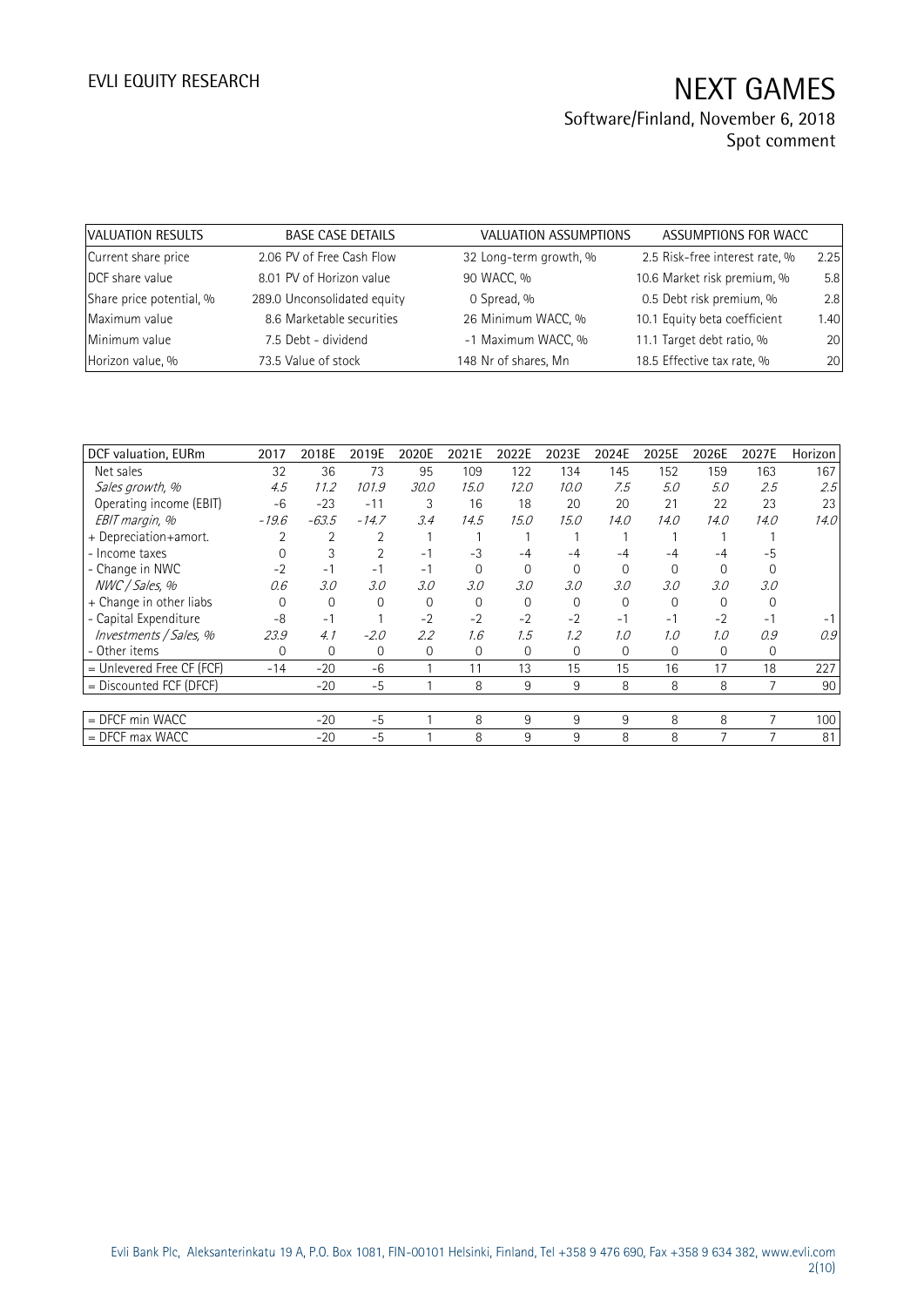| VALUATION RESULTS        | <b>BASE CASE DETAILS</b>    | VALUATION ASSUMPTIONS  | ASSUMPTIONS FOR WACC           |      |
|--------------------------|-----------------------------|------------------------|--------------------------------|------|
| Current share price      | 2.06 PV of Free Cash Flow   | 32 Long-term growth, % | 2.5 Risk-free interest rate, % | 2.25 |
| DCF share value          | 8.01 PV of Horizon value    | 90 WACC, %             | 10.6 Market risk premium, %    | 5.8  |
| Share price potential, % | 289.0 Unconsolidated equity | 0 Spread, %            | 0.5 Debt risk premium, %       | 2.8  |
| Maximum value            | 8.6 Marketable securities   | 26 Minimum WACC, %     | 10.1 Equity beta coefficient   | 1.40 |
| Minimum value            | 7.5 Debt - dividend         | -1 Maximum WACC, %     | 11.1 Target debt ratio, %      | 20   |
| Horizon value, %         | 73.5 Value of stock         | 148 Nr of shares, Mn   | 18.5 Effective tax rate, %     | 20   |

| DCF valuation, EURm       | 2017    | 2018E   | 2019E    | 2020E    | 2021E          | 2022E    | 2023E    | 2024E    | 2025E       | 2026E    | 2027E        | Horizon |
|---------------------------|---------|---------|----------|----------|----------------|----------|----------|----------|-------------|----------|--------------|---------|
| Net sales                 | 32      | 36      | 73       | 95       | 109            | 122      | 134      | 145      | 152         | 159      | 163          | 167     |
| Sales growth, %           | 4.5     | 11.2    | 101.9    | 30.0     | 15.0           | 12.0     | 10.0     | 7.5      | 5.0         | 5.0      | 2.5          | 2.5     |
| Operating income (EBIT)   | $-6$    | $-23$   | $-11$    | 3        | 16             | 18       | 20       | 20       | 21          | 22       | 23           | 23      |
| EBIT margin, %            | $-19.6$ | $-63.5$ | $-14.7$  | 3.4      | 14.5           | 15.0     | 15.0     | 14.0     | 14.0        | 14.0     | 14.0         | 14.0    |
| + Depreciation+amort.     |         |         |          |          |                |          |          |          |             |          |              |         |
| - Income taxes            |         | 3       |          | $-1$     | $-3$           | -4       |          | -4       |             |          | -5           |         |
| - Change in NWC           | $-2$    | $-1$    | $-1$     | $-1$     | $\Omega$       |          | $\Omega$ | $\Omega$ | $\Omega$    | $\Omega$ |              |         |
| NWC / Sales, %            | 0.6     | 3.0     | 3.0      | 3.0      | 3.0            | 3.0      | 3.0      | 3.0      | 3.0         | 3.0      | 3.0          |         |
| + Change in other liabs   | 0       | 0       | $\Omega$ | $\Omega$ | $\Omega$       | $\Omega$ | $\Omega$ | $\Omega$ | $\Omega$    | $\Omega$ |              |         |
| - Capital Expenditure     | -8      | $-1$    |          | $-2$     | $-2$           | $-2$     | $-2$     | $-1$     | $-1$        | $-2$     | $-1$         |         |
| Investments / Sales, %    | 23.9    | 4.1     | $-2.0$   | 2.2      | 1.6            | 1.5      | 1.2      | 1.0      | 1.0         | 1.0      | 0.9          | 0.9     |
| - Other items             | 0       | 0       | 0        | 0        | $\overline{0}$ | $\Omega$ | 0        | 0        | $\mathbf 0$ | 0        | $\mathbf{0}$ |         |
| = Unlevered Free CF (FCF) | $-14$   | $-20$   | $-6$     |          | 11             | 13       | 15       | 15       | 16          | 17       | 18           | 227     |
| $=$ Discounted FCF (DFCF) |         | $-20$   | $-5$     |          | 8              | 9        | 9        | 8        | 8           | 8        |              | 90      |
|                           |         |         |          |          |                |          |          |          |             |          |              |         |
| $=$ DFCF min WACC         |         | $-20$   | $-5$     |          | 8              | 9        | 9        | 9        | 8           | 8        | 7            | 100     |
| $=$ DFCF max WACC         |         | $-20$   | $-5$     |          | 8              | 9        | 9        | 8        | 8           |          |              | 81      |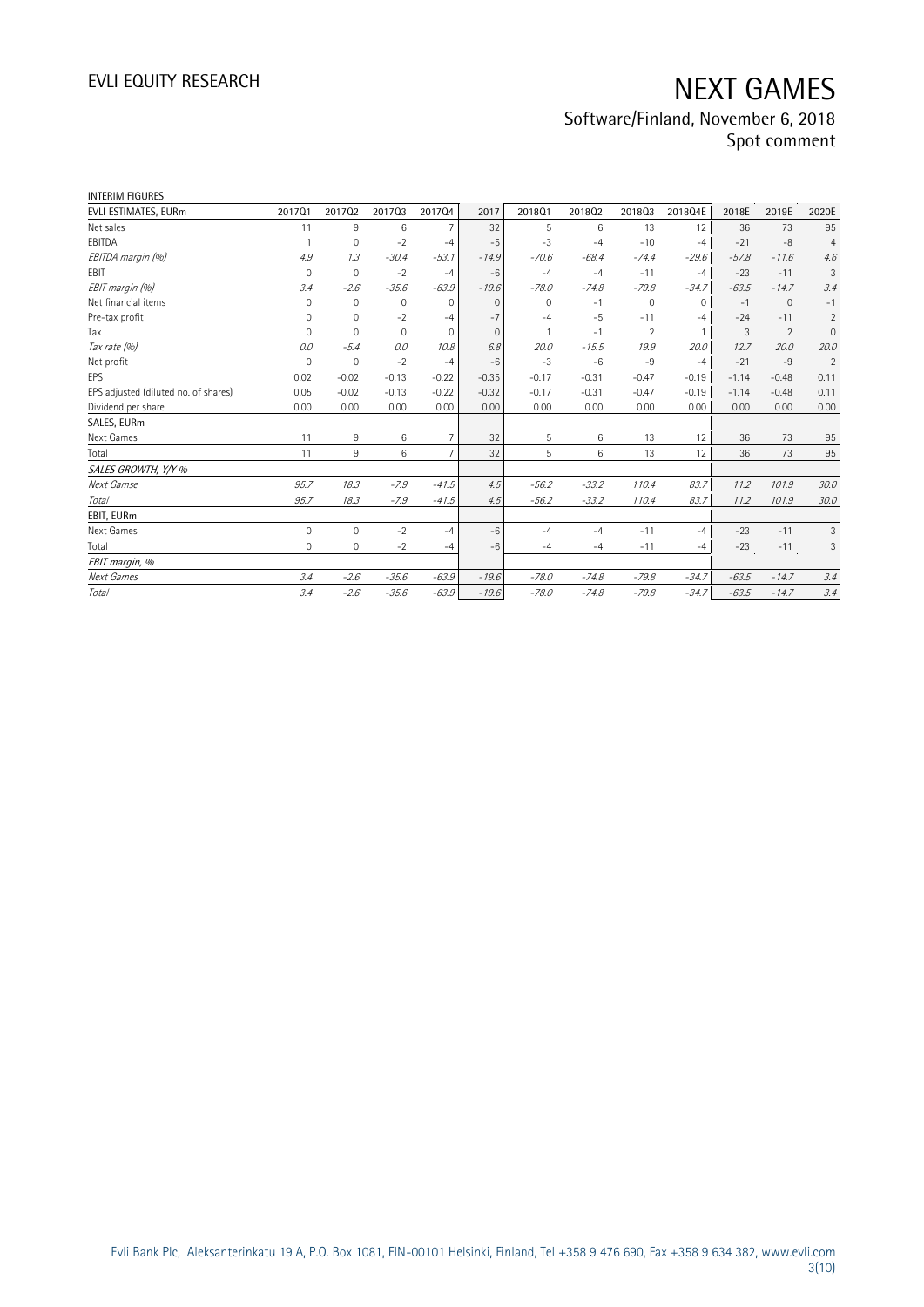| <b>INTERIM FIGURES</b>               |             |              |             |                 |          |          |         |                     |              |         |              |                |
|--------------------------------------|-------------|--------------|-------------|-----------------|----------|----------|---------|---------------------|--------------|---------|--------------|----------------|
| EVLI ESTIMATES, EURm                 | 201701      | 201702       | 201703      | 201704          | 2017     | 201801   | 201802  | 201803              | 2018Q4E      | 2018E   | 2019E        | 2020E          |
| Net sales                            | 11          | 9            | 6           | 7               | 32       | 5        | 6       | 13                  | 12           | 36      | 73           | 95             |
| EBITDA                               |             | 0            | $-2$        | $-4$            | $-5$     | $-3$     | $-4$    | $-10$               | $-4$         | $-21$   | $-8$         | $\overline{4}$ |
| EBITDA margin (%)                    | 4.9         | 1.3          | $-30.4$     | $-53.1$         | $-14.9$  | $-70.6$  | $-68.4$ | $-74.4$             | $-29.6$      | $-57.8$ | $-11.6$      | 4.6            |
| <b>FBIT</b>                          | $\mathbf 0$ | $\mathbf{0}$ | $-2$        | $-4$            | $-6$     | $-4$     | $-4$    | $-11$               | $-4$         | $-23$   | $-11$        | 3              |
| EBIT margin (%)                      | 3.4         | $-2.6$       | $-35.6$     | $-63.9$         | $-19.6$  | $-78.0$  | $-74.8$ | $-79.8$             | $-34.7$      | $-63.5$ | $-14.7$      | 3.4            |
| Net financial items                  | $\Omega$    | $\mathbf 0$  | $\mathbf 0$ | $\mathbf{0}$    | $\Omega$ | $\Omega$ | $-1$    | $\mathsf{O}\xspace$ | $\mathbf 0$  | $-1$    | $\mathbf{0}$ | $-1$           |
| Pre-tax profit                       | 0           | $\mathbf 0$  | $-2$        | $-4$            | $-7$     | $-4$     | $-5$    | $-11$               | $-4$         | $-24$   | $-11$        | $\overline{2}$ |
| Tax                                  | $\Omega$    | $\Omega$     | $\Omega$    | $\mathbf{0}$    | $\Omega$ |          | $-1$    | $\overline{2}$      | $\mathbf{1}$ | 3       | 2            | $\overline{0}$ |
| Tax rate (%)                         | 0.0         | $-5.4$       | 0.0         | 10.8            | 6.8      | 20.0     | $-15.5$ | 19.9                | 20.0         | 12.7    | 20.0         | 20.0           |
| Net profit                           | $\Omega$    | $\Omega$     | $-2$        | $-4$            | $-6$     | $-3$     | $-6$    | $-9$                | $-4$         | $-21$   | $-9$         | $\overline{2}$ |
| EPS                                  | 0.02        | $-0.02$      | $-0.13$     | $-0.22$         | $-0.35$  | $-0.17$  | $-0.31$ | $-0.47$             | $-0.19$      | $-1.14$ | $-0.48$      | 0.11           |
| EPS adjusted (diluted no. of shares) | 0.05        | $-0.02$      | $-0.13$     | $-0.22$         | $-0.32$  | $-0.17$  | $-0.31$ | $-0.47$             | $-0.19$      | $-1.14$ | $-0.48$      | 0.11           |
| Dividend per share                   | 0.00        | 0.00         | 0.00        | 0.00            | 0.00     | 0.00     | 0.00    | 0.00                | 0.00         | 0.00    | 0.00         | 0.00           |
| SALES, EURm                          |             |              |             |                 |          |          |         |                     |              |         |              |                |
| Next Games                           | 11          | 9            | 6           | $7\overline{ }$ | 32       | 5        | 6       | 13                  | 12           | 36      | 73           | 95             |
| Total                                | 11          | 9            | 6           | $\overline{7}$  | 32       | 5        | 6       | 13                  | 12           | 36      | 73           | 95             |
| SALES GROWTH, Y/Y %                  |             |              |             |                 |          |          |         |                     |              |         |              |                |
| Next Gamse                           | 95.7        | 18.3         | $-7.9$      | $-41.5$         | 4.5      | $-56.2$  | $-33.2$ | 110.4               | 83.7         | 11.2    | 101.9        | 30.0           |
| Total                                | 95.7        | 18.3         | $-7.9$      | $-41.5$         | 4.5      | $-56.2$  | $-33.2$ | 110.4               | 83.7         | 11.2    | 101.9        | 30.0           |
| EBIT, EURm                           |             |              |             |                 |          |          |         |                     |              |         |              |                |
| Next Games                           | $\mathbf 0$ | $\mathbf 0$  | $-2$        | $-4$            | $-6$     | $-4$     | $-4$    | $-11$               | $-4$         | $-23$   | $-11$        | 3              |
| Total                                | $\mathbf 0$ | $\circ$      | $-2$        | $-4$            | $-6$     | $-4$     | $-4$    | $-11$               | $-4$         | $-23$   | $-11$        | 3              |
| EBIT margin, %                       |             |              |             |                 |          |          |         |                     |              |         |              |                |
| Next Games                           | 3.4         | $-2.6$       | $-35.6$     | $-63.9$         | $-19.6$  | $-78.0$  | $-74.8$ | $-79.8$             | $-34.7$      | $-63.5$ | $-14.7$      | 3.4            |
| <b>Total</b>                         | 3.4         | $-2.6$       | $-35.6$     | $-63.9$         | $-19.6$  | $-78.0$  | $-74.8$ | $-79.8$             | $-34.7$      | $-63.5$ | $-14.7$      | 3.4            |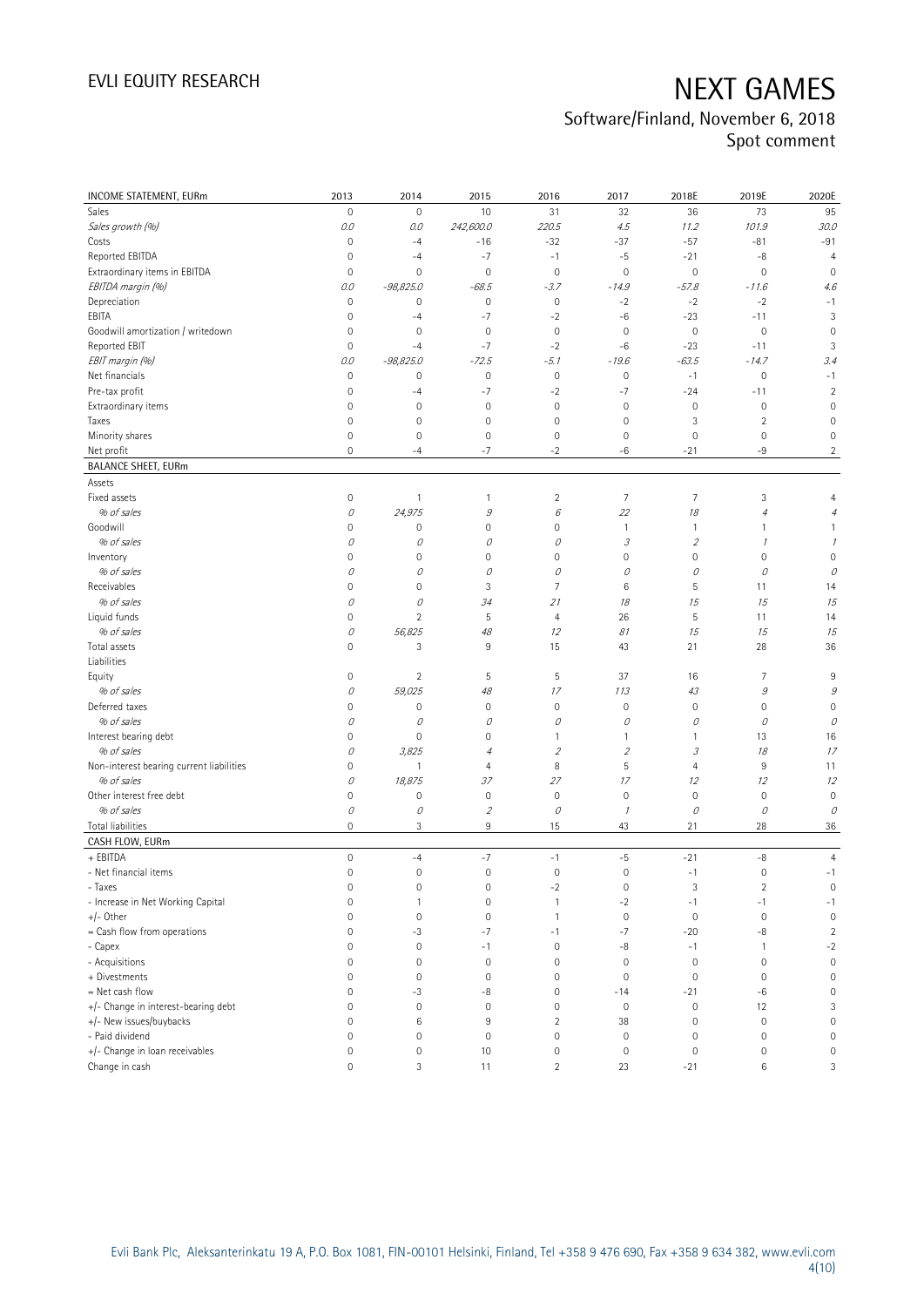| INCOME STATEMENT, EURm                   | 2013                | 2014                      | 2015                | 2016                      | 2017                        | 2018E                    | 2019E               | 2020E               |
|------------------------------------------|---------------------|---------------------------|---------------------|---------------------------|-----------------------------|--------------------------|---------------------|---------------------|
| Sales                                    | $\mathsf{O}\xspace$ | $\mathbf 0$               | 10                  | 31                        | 32                          | 36                       | 73                  | 95                  |
| Sales growth (%)                         | 0.0                 | 0.0                       | 242,600.0           | 220.5                     | 4.5                         | 11.2                     | 101.9               | 30.0                |
| Costs                                    | $\mathsf{O}\xspace$ | $-4$                      | $-16$               | $-32$                     | $-37$                       | $-57$                    | $-81$               | $-91$               |
| Reported EBITDA                          | $\mathsf{O}\xspace$ | $-4$                      | $-7$                | $-1$                      | $-5$                        | $-21$                    | $-8$                | $\overline{4}$      |
| Extraordinary items in EBITDA            | 0                   | $\mathbf 0$               | $\mathbf 0$         | $\mathbf 0$               | $\mathbf 0$                 | $\mathbf 0$              | $\mathbf 0$         | $\overline{0}$      |
| EBITDA margin (%)                        | 0.0                 | $-98,825.0$               | $-68.5$             | $-3.7$                    | $-14.9$                     | $-57.8$                  | $-11.6$             | 4.6                 |
| Depreciation                             | $\mathsf{O}\xspace$ | $\mathbf 0$               | $\mathbf 0$         | $\mathbb O$               | $-2$                        | $-2$                     | $-2$                | $-1$                |
| EBITA                                    | 0                   | $-4$                      | $-7$                | $-2$                      | $-6$                        | $-23$                    | $-11$               | 3                   |
| Goodwill amortization / writedown        | $\mathsf{O}\xspace$ | $\mathbf 0$               | $\mathbf 0$         | $\mathbf 0$               | $\mathbf 0$                 | $\mathbb O$              | $\mathbf 0$         | $\mathbf 0$         |
| Reported EBIT                            | $\mathsf{O}\xspace$ | $-4$                      | $-7$                | $-2$                      | $-6$                        | $-23$                    | $-11$               | 3                   |
| EBIT margin (%)                          | 0.0                 | $-98,825.0$               | $-72.5$             | $-5.1$                    | $-19.6$                     | $-63.5$                  | $-14.7$             | 3.4                 |
| Net financials                           | $\mathsf{O}\xspace$ | $\mathbf 0$               | $\mathbf 0$         | $\mathbb O$               | $\mathbf 0$                 | $-1$                     | $\mathbf 0$         | $-1$                |
| Pre-tax profit                           | $\mathsf{O}\xspace$ | $-4$                      | $-7$                | $-2$                      | $-7$                        | $-24$                    | $-11$               | $\overline{2}$      |
| Extraordinary items                      | $\mathsf{O}\xspace$ | $\mathbf 0$               | $\mathbf 0$         | $\mathbf 0$               | $\mathbf 0$                 | $\mathbb O$              | $\mathbf 0$         | $\mathbf 0$         |
| Taxes                                    | $\mathsf{O}\xspace$ | $\mathsf{O}\xspace$       | $\mathbf 0$         | $\mathbf 0$               | $\mathbb O$                 | 3                        | $\overline{2}$      | $\overline{0}$      |
| Minority shares                          | $\mathsf{O}\xspace$ | $\mathbf 0$               | $\mathsf{O}\xspace$ | $\mathbf 0$               | $\mathbf 0$                 | $\mathbf 0$              | $\mathbf 0$         | $\mathbf 0$         |
| Net profit                               | $\overline{0}$      | $-4$                      | $-7$                | $-2$                      | -6                          | $-21$                    | -9                  | $\overline{2}$      |
| <b>BALANCE SHEET, EURm</b>               |                     |                           |                     |                           |                             |                          |                     |                     |
| Assets                                   |                     |                           |                     |                           |                             |                          |                     |                     |
| Fixed assets                             | $\mathsf{O}\xspace$ | $\mathbf{1}$              | 1                   | 2                         | $\overline{7}$              | $\overline{7}$           | 3                   | $\overline{4}$      |
| % of sales                               | 0                   | 24,975                    | 9                   | $\boldsymbol{\mathit{6}}$ | 22                          | 18                       | $\overline{4}$      | $\overline{4}$      |
| Goodwill                                 | $\mathsf{O}\xspace$ | $\mathbf 0$               | 0                   | 0                         | $\mathbf{1}$                | $\mathbf{1}$             | 1                   | 1                   |
| % of sales                               | 0                   | 0                         | О                   | 0                         | $\mathcal{S}_{\mathcal{S}}$ | $\overline{\mathcal{L}}$ | $\mathcal I$        | $\mathcal I$        |
| Inventory                                | $\mathsf{O}\xspace$ | $\mathbf 0$               | $\mathsf{O}\xspace$ | 0                         | $\mathbf 0$                 | $\mathsf{O}\xspace$      | 0                   | $\overline{0}$      |
| % of sales                               | 0                   | 0                         | 0                   | 0                         | 0                           | 0                        | 0                   | 0                   |
| Receivables                              | 0                   | $\mathbf 0$               | 3                   | 7                         | 6                           | 5                        | 11                  | 14                  |
| % of sales                               | 0                   | 0                         | 34                  |                           | 18                          | 15                       | 15                  |                     |
| Liquid funds                             | 0                   | $\overline{2}$            | 5                   | 21                        |                             | $\sqrt{5}$               |                     | 15                  |
| % of sales                               |                     |                           |                     | 4                         | 26                          |                          | 11                  | 14                  |
|                                          | 0                   | 56,825                    | 48                  | 12                        | 81                          | 15                       | 15                  | 15                  |
| Total assets<br>Liabilities              | $\overline{0}$      | 3                         | 9                   | 15                        | 43                          | 21                       | 28                  | 36                  |
| Equity                                   | 0                   | $\overline{2}$            | 5                   | 5                         | 37                          | 16                       | 7                   | 9                   |
| % of sales                               | 0                   | 59,025                    | 48                  | 17                        | 113                         | 43                       | $\mathcal G$        | 9                   |
| Deferred taxes                           | $\mathsf{O}\xspace$ | $\mathbf 0$               | $\mathbf 0$         | $\mathsf{O}\xspace$       | $\mathbf 0$                 | $\mathbf 0$              | 0                   | $\mathbf 0$         |
| % of sales                               | 0                   | 0                         | 0                   | 0                         | 0                           | 0                        | 0                   | 0                   |
| Interest bearing debt                    | $\mathsf{O}\xspace$ | $\mathbf 0$               | $\mathsf{O}\xspace$ | 1                         | $\mathbf{1}$                | 1                        | 13                  | 16                  |
| % of sales                               | 0                   | 3,825                     | $\overline{4}$      | $\mathfrak z$             | $\overline{2}$              | 3                        | 18                  | 17                  |
| Non-interest bearing current liabilities | 0                   | $\mathbf{1}$              | 4                   | 8                         | 5                           | $\overline{4}$           | 9                   | 11                  |
| % of sales                               | 0                   | 18,875                    | 37                  | 27                        | 17                          | 12                       | 12                  | 12                  |
| Other interest free debt                 | $\mathsf{O}\xspace$ | $\mathbf 0$               | $\mathbf 0$         | $\mathbf 0$               | $\mathbf 0$                 | $\mathbb O$              | $\mathbf 0$         | $\mathbf 0$         |
| % of sales                               | 0                   | $\mathcal O$              | $\mathfrak z$       | 0                         | $\mathcal I$                | 0                        | 0                   | 0                   |
| Total liabilities                        | 0                   | $\ensuremath{\mathsf{3}}$ | 9                   | 15                        | 43                          | 21                       | 28                  | 36                  |
| CASH FLOW, EURm                          |                     |                           |                     |                           |                             |                          |                     |                     |
| + EBITDA                                 | $\circ$             | $-4$                      | $-7$                | $-1$                      | $-5$                        | $-21$                    | $-8$                | $\overline{4}$      |
| - Net financial items                    | $\mathsf{O}\xspace$ | $\mathbf 0$               | $\mathbf 0$         | $\mathbf 0$               | $\mathbf 0$                 | $-1$                     | $\mathsf{O}\xspace$ | $-1$                |
| - Taxes                                  | 0                   | 0                         | 0                   | $-2$                      | $\mathbf 0$                 | 3                        | 2                   | 0                   |
| - Increase in Net Working Capital        | $\mathsf{O}\xspace$ | $\mathbf{1}$              | $\mathsf{O}\xspace$ | $\mathbf{1}$              | $-2$                        | $-1$                     | $-1$                | $-1$                |
| +/- Other                                | 0                   | $\mathbf 0$               | $\mathsf{O}\xspace$ | $\mathbf{1}$              | $\mathbf{0}$                | $\mathsf{O}\xspace$      | $\mathbf 0$         | $\mathbf 0$         |
| = Cash flow from operations              | 0                   | $-3$                      | $-7$                | $-1$                      | $-7$                        | $-20$                    | $-8$                | $\sqrt{2}$          |
| - Capex                                  | 0                   | $\mathbf 0$               | $-1$                | $\mathbf 0$               | -8                          | $-1$                     | $\mathbf{1}$        | $-2$                |
| - Acquisitions                           | 0                   | $\mathbf 0$               | $\mathbf 0$         | $\mathsf{O}\xspace$       | $\mathbf 0$                 | $\mathsf{O}\xspace$      | $\mathbf 0$         | $\mathbb O$         |
| + Divestments                            | 0                   | $\mathbf 0$               | $\mathsf{O}\xspace$ | 0                         | $\mathbf 0$                 | $\mathbf 0$              | $\mathbf 0$         | $\mathsf{O}\xspace$ |
| = Net cash flow                          | 0                   | $-3$                      | -8                  | $\mathsf{O}\xspace$       | $-14$                       | $-21$                    | $-6$                | $\mathbb O$         |
| +/- Change in interest-bearing debt      | 0                   | $\mathbf 0$               | $\mathbf 0$         | $\mathsf{O}\xspace$       | $\mathbf 0$                 | $\mathsf{O}\xspace$      | 12                  | 3                   |
| +/- New issues/buybacks                  | 0                   | 6                         | 9                   | $\overline{2}$            | 38                          | $\mathbb O$              | $\mathbf 0$         | $\mathsf{O}\xspace$ |
| - Paid dividend                          | 0                   | $\mathbf 0$               | $\mathbf 0$         | $\mathsf{O}\xspace$       | $\mathbf 0$                 | $\mathbb O$              | $\mathbf 0$         | $\mathsf{O}\xspace$ |
| +/- Change in loan receivables           | 0                   | $\mathbf 0$               | 10                  | 0                         | $\mathbb O$                 | $\mathbb O$              | $\mathsf{O}\xspace$ | $\mathsf{O}\xspace$ |
| Change in cash                           | 0                   | $\mathfrak{Z}$            | 11                  | $\overline{2}$            | 23                          | $-21$                    | 6                   | 3                   |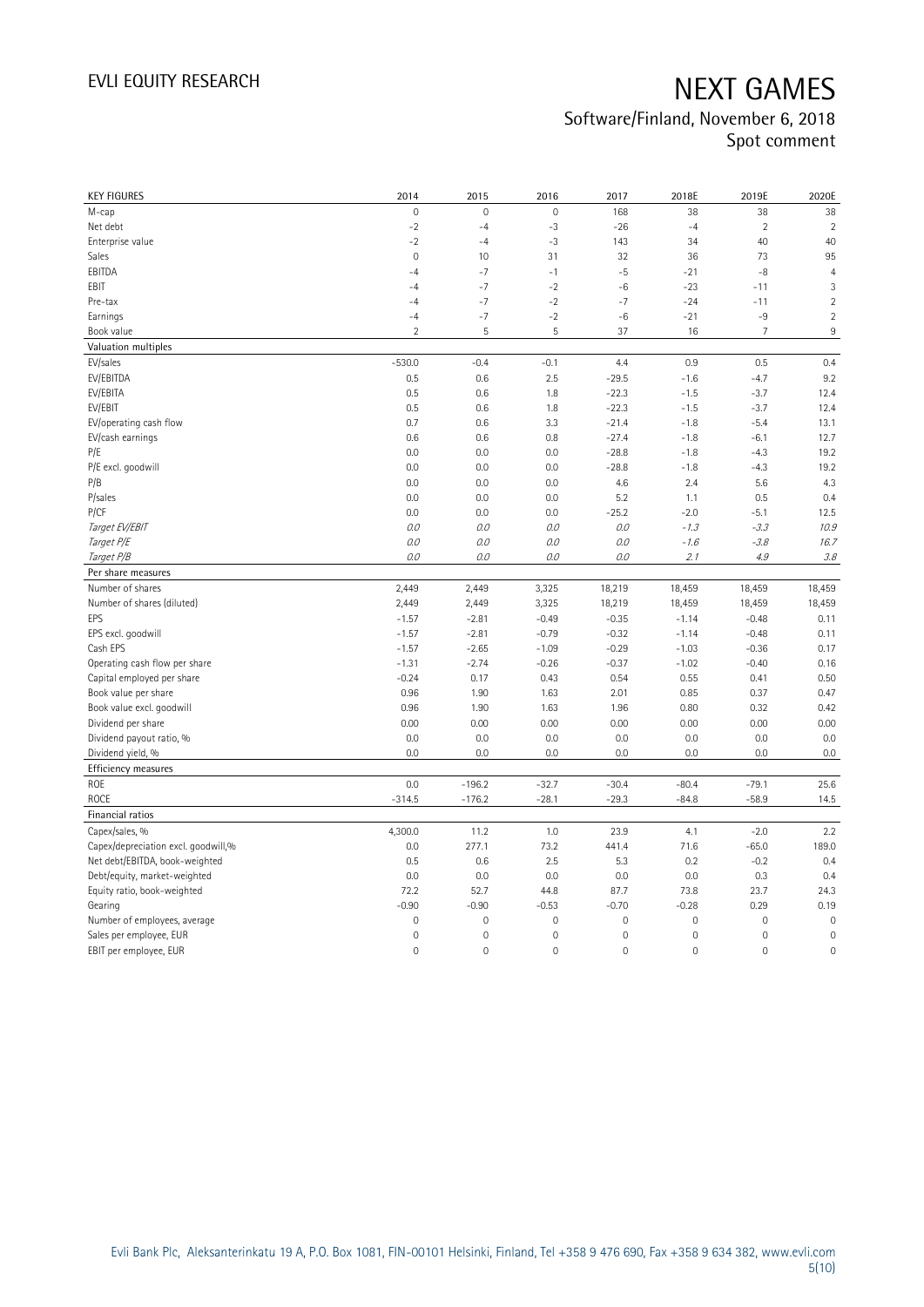| <b>KEY FIGURES</b>                  | 2014                | 2015                | 2016        | 2017                | 2018E               | 2019E               | 2020E          |
|-------------------------------------|---------------------|---------------------|-------------|---------------------|---------------------|---------------------|----------------|
| M-cap                               | $\overline{0}$      | $\mathbf 0$         | $\mathbf 0$ | 168                 | 38                  | 38                  | 38             |
| Net debt                            | $-2$                | $-4$                | $-3$        | $-26$               | $-4$                | $\overline{2}$      | $\overline{2}$ |
| Enterprise value                    | $-2$                | $-4$                | $-3$        | 143                 | 34                  | 40                  | 40             |
| Sales                               | $\mathbf 0$         | 10                  | 31          | 32                  | 36                  | 73                  | 95             |
| EBITDA                              | $-4$                | $-7$                | $-1$        | $-5$                | $-21$               | $-8$                | $\overline{4}$ |
| EBIT                                | $-4$                | $-7$                | $-2$        | $-6$                | $-23$               | $-11$               | 3              |
| Pre-tax                             | $-4$                | $-7$                | $-2$        | $-7$                | $-24$               | $-11$               | $\sqrt{2}$     |
| Earnings                            | $-4$                | $-7$                | $-2$        | $-6$                | $-21$               | $-9$                | $\sqrt{2}$     |
| Book value                          | $\overline{2}$      | 5                   | 5           | 37                  | 16                  | $\overline{7}$      | $\,9$          |
| Valuation multiples                 |                     |                     |             |                     |                     |                     |                |
| EV/sales                            | $-530.0$            | $-0.4$              | $-0.1$      | 4.4                 | 0.9                 | 0.5                 | 0.4            |
| EV/EBITDA                           | 0.5                 | 0.6                 | 2.5         | $-29.5$             | $-1.6$              | $-4.7$              | 9.2            |
| EV/EBITA                            | 0.5                 | 0.6                 | 1.8         | $-22.3$             | $-1.5$              | $-3.7$              | 12.4           |
| EV/EBIT                             | 0.5                 | 0.6                 | 1.8         | $-22.3$             | $-1.5$              | $-3.7$              | 12.4           |
| EV/operating cash flow              | 0.7                 | 0.6                 | 3.3         | $-21.4$             | $-1.8$              | $-5.4$              | 13.1           |
| EV/cash earnings                    | 0.6                 | 0.6                 | 0.8         | $-27.4$             | $-1.8$              | $-6.1$              | 12.7           |
| P/E                                 | 0.0                 | 0.0                 | 0.0         | $-28.8$             | $-1.8$              | $-4.3$              | 19.2           |
| P/E excl. goodwill                  | 0.0                 | 0.0                 | 0.0         | $-28.8$             | $-1.8$              | $-4.3$              | 19.2           |
| P/B                                 | 0.0                 | 0.0                 | 0.0         | 4.6                 | 2.4                 | 5.6                 | 4.3            |
| P/sales                             | 0.0                 | 0.0                 | 0.0         | 5.2                 | 1.1                 | 0.5                 | 0.4            |
| P/CF                                | 0.0                 | 0.0                 | 0.0         | $-25.2$             | $-2.0$              | $-5.1$              | 12.5           |
| Target EV/EBIT                      | O.O                 | 0.0                 | 0.0         | O.O                 | $-1.3$              | $-3.3$              | 10.9           |
| Target P/E                          | 0.0                 | 0.0                 | 0.0         | 0.0                 | $-1.6$              | $-3.8$              | 16.7           |
| Target P/B                          | O.O                 | 0.0                 | 0.0         | 0.0                 | 2.1                 | 4.9                 | 3.8            |
| Per share measures                  |                     |                     |             |                     |                     |                     |                |
| Number of shares                    | 2,449               | 2,449               | 3,325       | 18,219              | 18,459              | 18,459              | 18,459         |
| Number of shares (diluted)          | 2,449               | 2,449               | 3,325       | 18,219              | 18,459              | 18,459              | 18,459         |
| EPS                                 | $-1.57$             | $-2.81$             | $-0.49$     | $-0.35$             | $-1.14$             | $-0.48$             | 0.11           |
| EPS excl. goodwill                  | $-1.57$             | $-2.81$             | $-0.79$     | $-0.32$             | $-1.14$             | $-0.48$             | 0.11           |
| Cash EPS                            | $-1.57$             | $-2.65$             | $-1.09$     | $-0.29$             | $-1.03$             | $-0.36$             | 0.17           |
| Operating cash flow per share       | $-1.31$             | $-2.74$             | $-0.26$     | $-0.37$             | $-1.02$             | $-0.40$             | 0.16           |
| Capital employed per share          | $-0.24$             | 0.17                | 0.43        | 0.54                | 0.55                | 0.41                | 0.50           |
| Book value per share                | 0.96                | 1.90                | 1.63        | 2.01                | 0.85                | 0.37                | 0.47           |
| Book value excl. goodwill           | 0.96                | 1.90                | 1.63        | 1.96                | 0.80                | 0.32                | 0.42           |
| Dividend per share                  | 0.00                | 0.00                | 0.00        | 0.00                | 0.00                | 0.00                | 0.00           |
| Dividend payout ratio, %            | 0.0                 | 0.0                 | 0.0         | 0.0                 | 0.0                 | 0.0                 | 0.0            |
| Dividend yield, %                   | 0.0                 | 0.0                 | 0.0         | 0.0                 | 0.0                 | 0.0                 | 0.0            |
| Efficiency measures                 |                     |                     |             |                     |                     |                     |                |
| ROE                                 | 0.0                 | $-196.2$            | $-32.7$     | $-30.4$             | $-80.4$             | $-79.1$             | 25.6           |
| ROCE                                | $-314.5$            | $-176.2$            | $-28.1$     | $-29.3$             | $-84.8$             | $-58.9$             | 14.5           |
| Financial ratios                    |                     |                     |             |                     |                     |                     |                |
| Capex/sales, %                      | 4,300.0             | 11.2                | 1.0         | 23.9                | 4.1                 | $-2.0$              | 2.2            |
| Capex/depreciation excl. goodwill,% | 0.0                 | 277.1               | 73.2        | 441.4               | 71.6                | $-65.0$             | 189.0          |
| Net debt/EBITDA, book-weighted      | 0.5                 | 0.6                 | 2.5         | 5.3                 | 0.2                 | $-0.2$              | 0.4            |
| Debt/equity, market-weighted        | 0.0                 | 0.0                 | 0.0         | 0.0                 | 0.0                 | 0.3                 | 0.4            |
| Equity ratio, book-weighted         | 72.2                | 52.7                | 44.8        | 87.7                | 73.8                | 23.7                | 24.3           |
| Gearing                             | $-0.90$             | $-0.90$             | $-0.53$     | $-0.70$             | $-0.28$             | 0.29                | 0.19           |
| Number of employees, average        | $\mathsf{O}\xspace$ | $\mathsf{O}\xspace$ | $\mathbf 0$ | $\mathsf{O}\xspace$ | $\mathsf{O}\xspace$ | $\mathbf 0$         | $\mathbf 0$    |
| Sales per employee, EUR             | $\mathbf 0$         | $\mathbf 0$         | $\mathbf 0$ | 0                   | $\mathbf 0$         | 0                   | $\mathbf 0$    |
| EBIT per employee, EUR              | $\mathbf 0$         | $\mathbf 0$         | $\mathbf 0$ | 0                   | $\mathbf 0$         | $\mathsf{O}\xspace$ | $\mathbf 0$    |
|                                     |                     |                     |             |                     |                     |                     |                |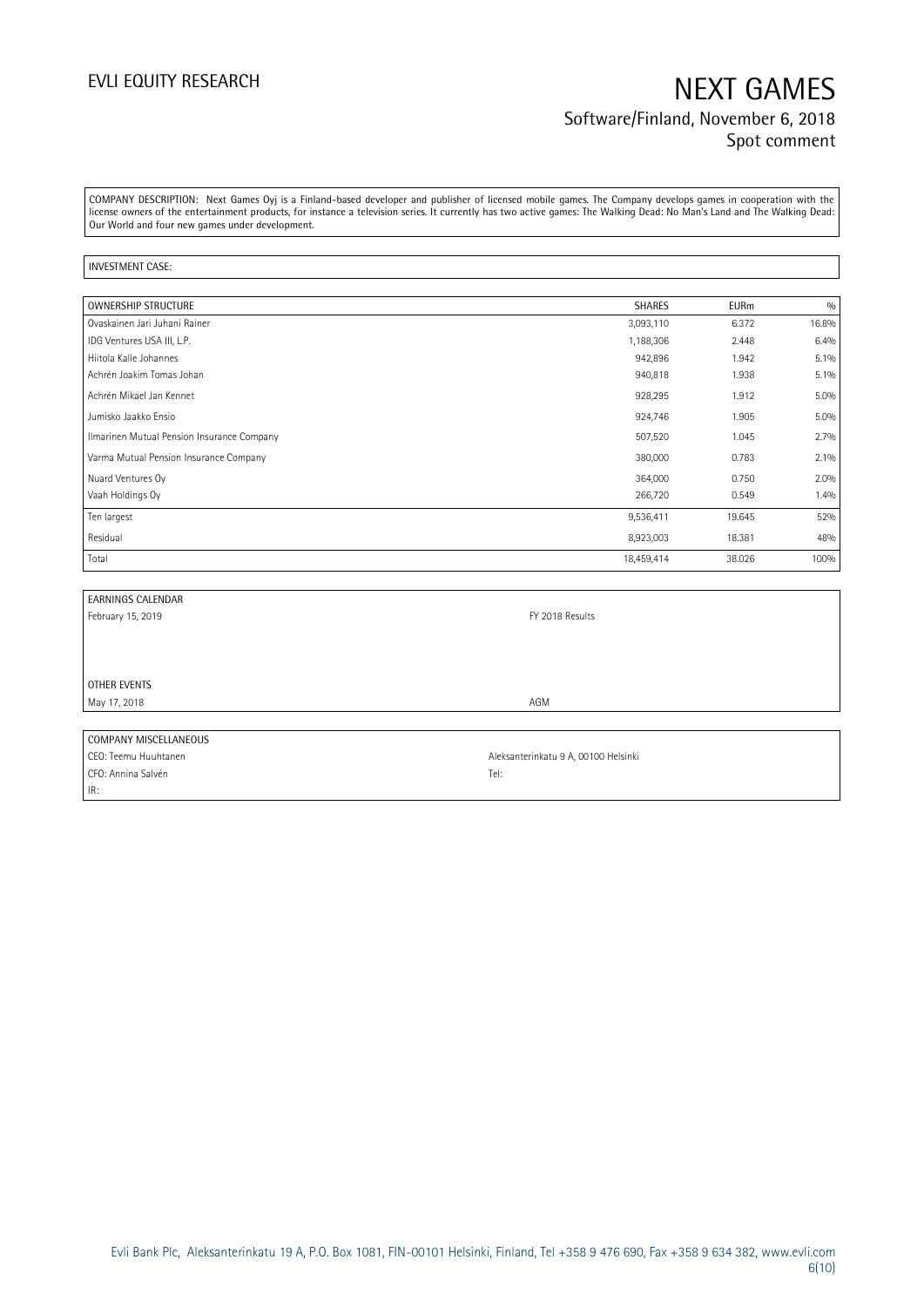## EVLI EQUITY RESEARCH NEXT GAMES Software/Finland, November 6, 2018 Spot comment

COMPANY DESCRIPTION: Next Games Oyj is a Finland-based developer and publisher of licensed mobile games. The Company develops games in cooperation with the license owners of the entertainment products, for instance a television series. It currently has two active games: The Walking Dead: No Man's Land and The Walking Dead: Our World and four new games under development.

### INVESTMENT CASE:

| <b>OWNERSHIP STRUCTURE</b>                 | <b>SHARES</b> | <b>EURm</b> | 0/0   |
|--------------------------------------------|---------------|-------------|-------|
| Ovaskainen Jari Juhani Rainer              | 3,093,110     | 6.372       | 16.8% |
| IDG Ventures USA III, L.P.                 | 1,188,306     | 2.448       | 6.4%  |
| Hiitola Kalle Johannes                     | 942,896       | 1.942       | 5.1%  |
| Achrén Joakim Tomas Johan                  | 940,818       | 1.938       | 5.1%  |
| Achrén Mikael Jan Kennet                   | 928,295       | 1.912       | 5.0%  |
| Jumisko Jaakko Ensio                       | 924,746       | 1.905       | 5.0%  |
| Ilmarinen Mutual Pension Insurance Company | 507,520       | 1.045       | 2.7%  |
| Varma Mutual Pension Insurance Company     | 380,000       | 0.783       | 2.1%  |
| Nuard Ventures Oy                          | 364,000       | 0.750       | 2.0%  |
| Vaah Holdings Oy                           | 266,720       | 0.549       | 1.4%  |
| Ten largest                                | 9,536,411     | 19.645      | 52%   |
| Residual                                   | 8,923,003     | 18.381      | 48%   |
| Total                                      | 18,459,414    | 38.026      | 100%  |

| EARNINGS CALENDAR     |                                      |  |
|-----------------------|--------------------------------------|--|
| February 15, 2019     | FY 2018 Results                      |  |
|                       |                                      |  |
|                       |                                      |  |
|                       |                                      |  |
| OTHER EVENTS          |                                      |  |
| May 17, 2018          | AGM                                  |  |
|                       |                                      |  |
| COMPANY MISCELLANEOUS |                                      |  |
| CEO: Teemu Huuhtanen  | Aleksanterinkatu 9 A, 00100 Helsinki |  |

CFO: Annina Salvén Tel: IR: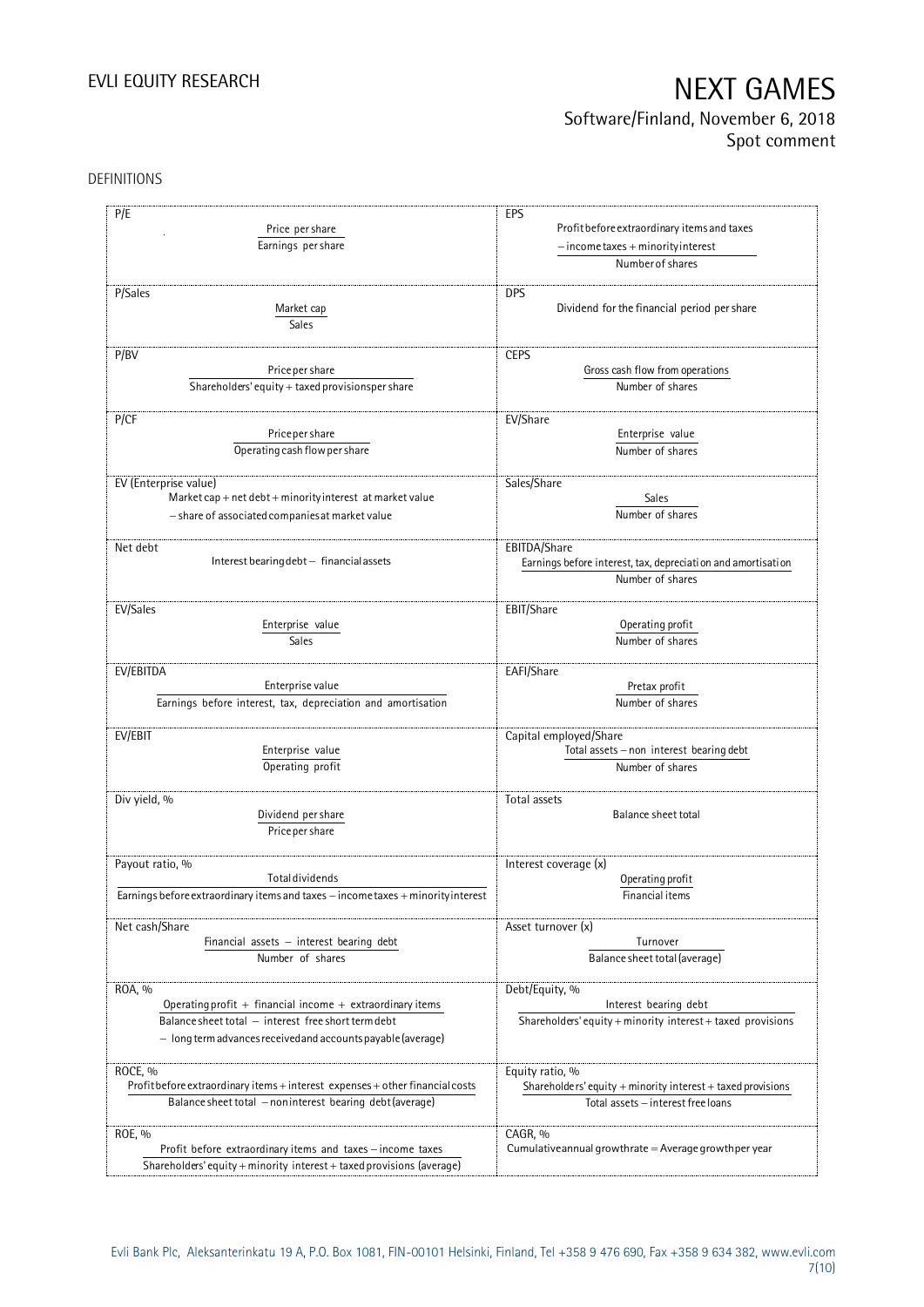## Software/Finland, November 6, 2018 Spot comment

### DEFINITIONS

| P/E                                                                              | EPS                                                                              |
|----------------------------------------------------------------------------------|----------------------------------------------------------------------------------|
|                                                                                  |                                                                                  |
| Price per share                                                                  | Profit before extraordinary items and taxes                                      |
| Earnings per share                                                               | $-$ income taxes + minority interest                                             |
|                                                                                  | Number of shares                                                                 |
| P/Sales                                                                          | <b>DPS</b>                                                                       |
| Market cap                                                                       | Dividend for the financial period per share                                      |
|                                                                                  |                                                                                  |
| Sales                                                                            |                                                                                  |
| P/BV                                                                             | <b>CEPS</b>                                                                      |
| Price per share                                                                  | Gross cash flow from operations                                                  |
| Shareholders' equity + taxed provisionsper share                                 | Number of shares                                                                 |
|                                                                                  |                                                                                  |
| P/CF                                                                             | EV/Share                                                                         |
| Price per share                                                                  | Enterprise value                                                                 |
| Operating cash flow per share                                                    | Number of shares                                                                 |
|                                                                                  |                                                                                  |
| EV (Enterprise value)                                                            | Sales/Share                                                                      |
| Market cap + net debt + minority interest at market value                        | Sales                                                                            |
| - share of associated companies at market value                                  | Number of shares                                                                 |
|                                                                                  |                                                                                  |
| Net debt<br>Interest bearing debt - financial assets                             | EBITDA/Share                                                                     |
|                                                                                  | Earnings before interest, tax, depreciation and amortisation<br>Number of shares |
|                                                                                  |                                                                                  |
| EV/Sales                                                                         | EBIT/Share                                                                       |
| Enterprise value                                                                 | Operating profit                                                                 |
| <b>Sales</b>                                                                     | Number of shares                                                                 |
|                                                                                  |                                                                                  |
| EV/EBITDA                                                                        | EAFI/Share                                                                       |
| Enterprise value                                                                 | Pretax profit                                                                    |
| Earnings before interest, tax, depreciation and amortisation                     | Number of shares                                                                 |
| EV/EBIT                                                                          | Capital employed/Share                                                           |
| Enterprise value                                                                 | Total assets - non interest bearing debt                                         |
| Operating profit                                                                 | Number of shares                                                                 |
|                                                                                  |                                                                                  |
| Div yield, %                                                                     | Total assets                                                                     |
| Dividend per share                                                               | Balance sheet total                                                              |
| Price per share                                                                  |                                                                                  |
|                                                                                  |                                                                                  |
| Payout ratio, %                                                                  | Interest coverage (x)                                                            |
| <b>Total dividends</b>                                                           | Operating profit                                                                 |
| Earnings before extraordinary items and taxes - income taxes + minority interest | Financial items                                                                  |
|                                                                                  |                                                                                  |
| Net cash/Share                                                                   | Asset turnover (x)                                                               |
| Financial assets $-$ interest bearing debt                                       | Turnover                                                                         |
| Number of shares                                                                 | Balance sheet total (average)                                                    |
| ROA, %                                                                           | Debt/Equity, %                                                                   |
| Operating profit + financial income + extraordinary items                        | Interest bearing debt                                                            |
| Balance sheet total - interest free short term debt                              | Shareholders' equity + minority interest + taxed provisions                      |
| - long term advances received and accounts payable (average)                     |                                                                                  |
|                                                                                  |                                                                                  |
| ROCE, %                                                                          | Equity ratio, %                                                                  |
| Profit before extraordinary items + interest expenses + other financial costs    | Shareholders' equity + minority interest + taxed provisions                      |
| Balance sheet total - noninterest bearing debt (average)                         | Total assets - interest free loans                                               |
|                                                                                  |                                                                                  |
| ROE, %                                                                           | CAGR, %                                                                          |
| Profit before extraordinary items and taxes - income taxes                       | Cumulative annual growthrate $=$ Average growthper year                          |
| Shareholders' equity + minority interest + taxed provisions (average)            |                                                                                  |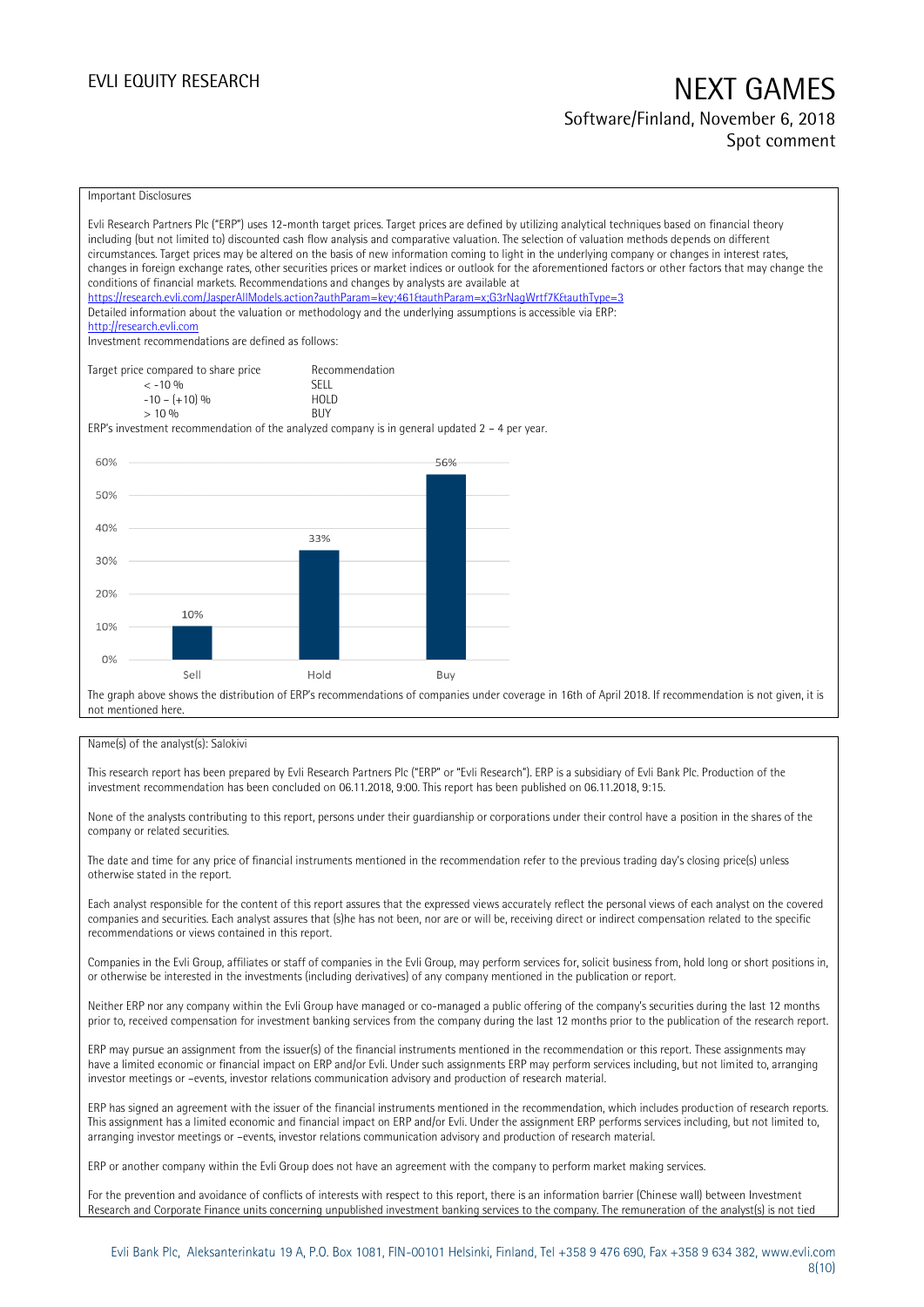### Software/Finland, November 6, 2018 Spot comment

### Important Disclosures

|     | Evli Research Partners Plc ("ERP") uses 12-month target prices. Target prices are defined by utilizing analytical techniques based on financial theory<br>including (but not limited to) discounted cash flow analysis and comparative valuation. The selection of valuation methods depends on different<br>circumstances. Target prices may be altered on the basis of new information coming to light in the underlying company or changes in interest rates,<br>changes in foreign exchange rates, other securities prices or market indices or outlook for the aforementioned factors or other factors that may change the<br>conditions of financial markets. Recommendations and changes by analysts are available at<br>https://research.evli.com/JasperAllModels.action?authParam=key;461&tauthParam=x;G3rNaqWrtf7K&tauthType=3<br>Detailed information about the valuation or methodology and the underlying assumptions is accessible via ERP:<br>http://research.evli.com<br>Investment recommendations are defined as follows: |                                                            |     |  |  |
|-----|---------------------------------------------------------------------------------------------------------------------------------------------------------------------------------------------------------------------------------------------------------------------------------------------------------------------------------------------------------------------------------------------------------------------------------------------------------------------------------------------------------------------------------------------------------------------------------------------------------------------------------------------------------------------------------------------------------------------------------------------------------------------------------------------------------------------------------------------------------------------------------------------------------------------------------------------------------------------------------------------------------------------------------------------|------------------------------------------------------------|-----|--|--|
|     | Target price compared to share price<br>$< -10\%$<br>$-10 - (+10)$ %<br>$> 10\%$                                                                                                                                                                                                                                                                                                                                                                                                                                                                                                                                                                                                                                                                                                                                                                                                                                                                                                                                                            | Recommendation<br><b>SFII</b><br><b>HOLD</b><br><b>BUY</b> |     |  |  |
|     | ERP's investment recommendation of the analyzed company is in general updated $2 - 4$ per year.                                                                                                                                                                                                                                                                                                                                                                                                                                                                                                                                                                                                                                                                                                                                                                                                                                                                                                                                             |                                                            |     |  |  |
| 60% |                                                                                                                                                                                                                                                                                                                                                                                                                                                                                                                                                                                                                                                                                                                                                                                                                                                                                                                                                                                                                                             |                                                            | 56% |  |  |
|     |                                                                                                                                                                                                                                                                                                                                                                                                                                                                                                                                                                                                                                                                                                                                                                                                                                                                                                                                                                                                                                             |                                                            |     |  |  |
| 50% |                                                                                                                                                                                                                                                                                                                                                                                                                                                                                                                                                                                                                                                                                                                                                                                                                                                                                                                                                                                                                                             |                                                            |     |  |  |
| 40% |                                                                                                                                                                                                                                                                                                                                                                                                                                                                                                                                                                                                                                                                                                                                                                                                                                                                                                                                                                                                                                             | 33%                                                        |     |  |  |
| 30% |                                                                                                                                                                                                                                                                                                                                                                                                                                                                                                                                                                                                                                                                                                                                                                                                                                                                                                                                                                                                                                             |                                                            |     |  |  |
|     |                                                                                                                                                                                                                                                                                                                                                                                                                                                                                                                                                                                                                                                                                                                                                                                                                                                                                                                                                                                                                                             |                                                            |     |  |  |
| 20% | 10%                                                                                                                                                                                                                                                                                                                                                                                                                                                                                                                                                                                                                                                                                                                                                                                                                                                                                                                                                                                                                                         |                                                            |     |  |  |
| 10% |                                                                                                                                                                                                                                                                                                                                                                                                                                                                                                                                                                                                                                                                                                                                                                                                                                                                                                                                                                                                                                             |                                                            |     |  |  |
| 0%  |                                                                                                                                                                                                                                                                                                                                                                                                                                                                                                                                                                                                                                                                                                                                                                                                                                                                                                                                                                                                                                             |                                                            |     |  |  |
|     | Sell                                                                                                                                                                                                                                                                                                                                                                                                                                                                                                                                                                                                                                                                                                                                                                                                                                                                                                                                                                                                                                        | Hold                                                       | Buy |  |  |
|     | The graph above shows the distribution of ERP's recommendations of companies under coverage in 16th of April 2018. If recommendation is not given, it is<br>not mentioned here                                                                                                                                                                                                                                                                                                                                                                                                                                                                                                                                                                                                                                                                                                                                                                                                                                                              |                                                            |     |  |  |

### Name(s) of the analyst(s): Salokivi

This research report has been prepared by Evli Research Partners Plc ("ERP" or "Evli Research"). ERP is a subsidiary of Evli Bank Plc. Production of the investment recommendation has been concluded on 06.11.2018, 9:00. This report has been published on 06.11.2018, 9:15.

None of the analysts contributing to this report, persons under their guardianship or corporations under their control have a position in the shares of the company or related securities.

The date and time for any price of financial instruments mentioned in the recommendation refer to the previous trading day's closing price(s) unless otherwise stated in the report.

Each analyst responsible for the content of this report assures that the expressed views accurately reflect the personal views of each analyst on the covered companies and securities. Each analyst assures that (s)he has not been, nor are or will be, receiving direct or indirect compensation related to the specific recommendations or views contained in this report.

Companies in the Evli Group, affiliates or staff of companies in the Evli Group, may perform services for, solicit business from, hold long or short positions in, or otherwise be interested in the investments (including derivatives) of any company mentioned in the publication or report.

Neither ERP nor any company within the Evli Group have managed or co-managed a public offering of the company's securities during the last 12 months prior to, received compensation for investment banking services from the company during the last 12 months prior to the publication of the research report.

ERP may pursue an assignment from the issuer(s) of the financial instruments mentioned in the recommendation or this report. These assignments may have a limited economic or financial impact on ERP and/or Evli. Under such assignments ERP may perform services including, but not limited to, arranging investor meetings or –events, investor relations communication advisory and production of research material.

ERP has signed an agreement with the issuer of the financial instruments mentioned in the recommendation, which includes production of research reports. This assignment has a limited economic and financial impact on ERP and/or Evli. Under the assignment ERP performs services including, but not limited to, arranging investor meetings or –events, investor relations communication advisory and production of research material.

ERP or another company within the Evli Group does not have an agreement with the company to perform market making services.

For the prevention and avoidance of conflicts of interests with respect to this report, there is an information barrier (Chinese wall) between Investment Research and Corporate Finance units concerning unpublished investment banking services to the company. The remuneration of the analyst(s) is not tied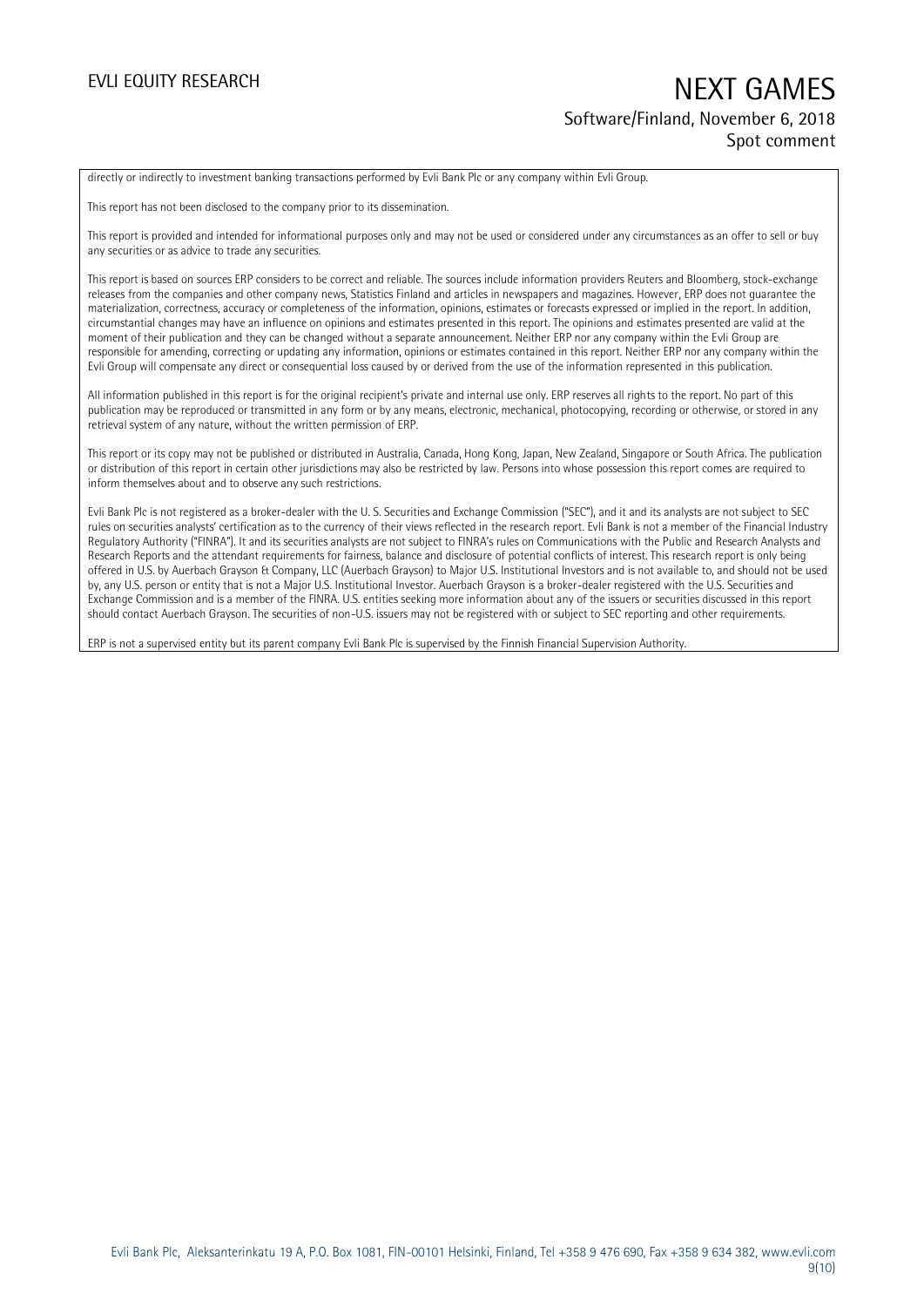## EVLI EQUITY RESEARCH NEXT GAMES Software/Finland, November 6, 2018 Spot comment

directly or indirectly to investment banking transactions performed by Evli Bank Plc or any company within Evli Group.

This report has not been disclosed to the company prior to its dissemination.

This report is provided and intended for informational purposes only and may not be used or considered under any circumstances as an offer to sell or buy any securities or as advice to trade any securities.

This report is based on sources ERP considers to be correct and reliable. The sources include information providers Reuters and Bloomberg, stock-exchange releases from the companies and other company news, Statistics Finland and articles in newspapers and magazines. However, ERP does not guarantee the materialization, correctness, accuracy or completeness of the information, opinions, estimates or forecasts expressed or implied in the report. In addition, circumstantial changes may have an influence on opinions and estimates presented in this report. The opinions and estimates presented are valid at the moment of their publication and they can be changed without a separate announcement. Neither ERP nor any company within the Evli Group are responsible for amending, correcting or updating any information, opinions or estimates contained in this report. Neither ERP nor any company within the Evli Group will compensate any direct or consequential loss caused by or derived from the use of the information represented in this publication.

All information published in this report is for the original recipient's private and internal use only. ERP reserves all rights to the report. No part of this publication may be reproduced or transmitted in any form or by any means, electronic, mechanical, photocopying, recording or otherwise, or stored in any retrieval system of any nature, without the written permission of ERP.

This report or its copy may not be published or distributed in Australia, Canada, Hong Kong, Japan, New Zealand, Singapore or South Africa. The publication or distribution of this report in certain other jurisdictions may also be restricted by law. Persons into whose possession this report comes are required to inform themselves about and to observe any such restrictions.

Evli Bank Plc is not registered as a broker-dealer with the U. S. Securities and Exchange Commission ("SEC"), and it and its analysts are not subject to SEC rules on securities analysts' certification as to the currency of their views reflected in the research report. Evli Bank is not a member of the Financial Industry Regulatory Authority ("FINRA"). It and its securities analysts are not subject to FINRA's rules on Communications with the Public and Research Analysts and Research Reports and the attendant requirements for fairness, balance and disclosure of potential conflicts of interest. This research report is only being offered in U.S. by Auerbach Grayson & Company, LLC (Auerbach Grayson) to Major U.S. Institutional Investors and is not available to, and should not be used by, any U.S. person or entity that is not a Major U.S. Institutional Investor. Auerbach Grayson is a broker-dealer registered with the U.S. Securities and Exchange Commission and is a member of the FINRA. U.S. entities seeking more information about any of the issuers or securities discussed in this report should contact Auerbach Grayson. The securities of non-U.S. issuers may not be registered with or subject to SEC reporting and other requirements.

ERP is not a supervised entity but its parent company Evli Bank Plc is supervised by the Finnish Financial Supervision Authority.